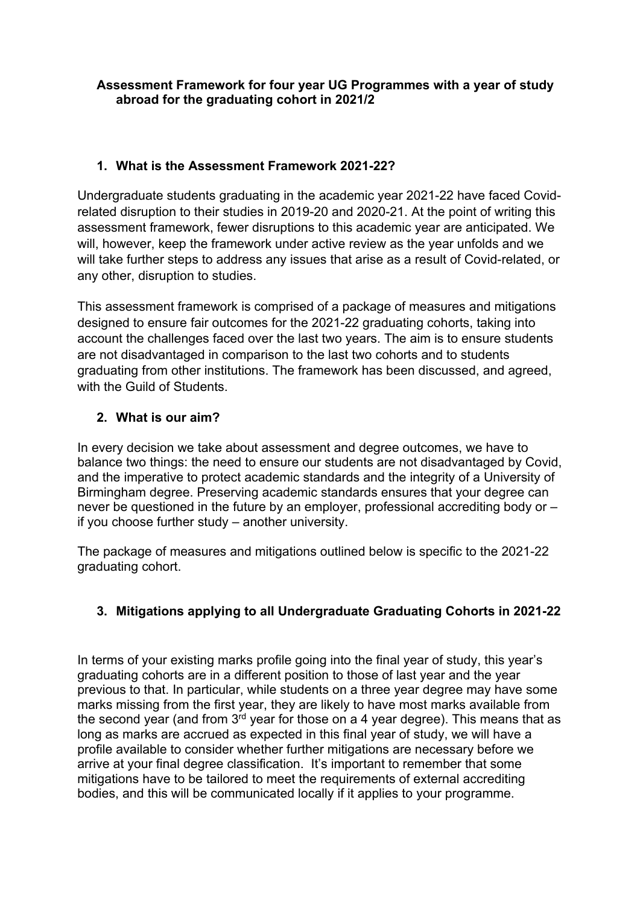## **Assessment Framework for four year UG Programmes with a year of study abroad for the graduating cohort in 2021/2**

# **1. What is the Assessment Framework 2021-22?**

Undergraduate students graduating in the academic year 2021-22 have faced Covidrelated disruption to their studies in 2019-20 and 2020-21. At the point of writing this assessment framework, fewer disruptions to this academic year are anticipated. We will, however, keep the framework under active review as the year unfolds and we will take further steps to address any issues that arise as a result of Covid-related, or any other, disruption to studies.

This assessment framework is comprised of a package of measures and mitigations designed to ensure fair outcomes for the 2021-22 graduating cohorts, taking into account the challenges faced over the last two years. The aim is to ensure students are not disadvantaged in comparison to the last two cohorts and to students graduating from other institutions. The framework has been discussed, and agreed, with the Guild of Students

## **2. What is our aim?**

In every decision we take about assessment and degree outcomes, we have to balance two things: the need to ensure our students are not disadvantaged by Covid, and the imperative to protect academic standards and the integrity of a University of Birmingham degree. Preserving academic standards ensures that your degree can never be questioned in the future by an employer, professional accrediting body or – if you choose further study – another university.

The package of measures and mitigations outlined below is specific to the 2021-22 graduating cohort.

# **3. Mitigations applying to all Undergraduate Graduating Cohorts in 2021-22**

In terms of your existing marks profile going into the final year of study, this year's graduating cohorts are in a different position to those of last year and the year previous to that. In particular, while students on a three year degree may have some marks missing from the first year, they are likely to have most marks available from the second year (and from  $3^{rd}$  year for those on a 4 year degree). This means that as long as marks are accrued as expected in this final year of study, we will have a profile available to consider whether further mitigations are necessary before we arrive at your final degree classification. It's important to remember that some mitigations have to be tailored to meet the requirements of external accrediting bodies, and this will be communicated locally if it applies to your programme.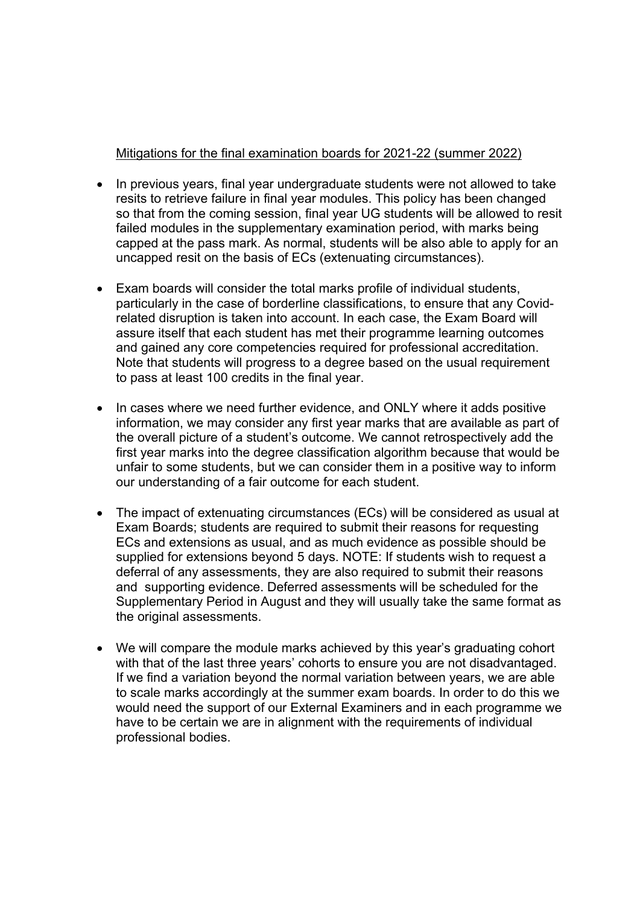#### Mitigations for the final examination boards for 2021-22 (summer 2022)

- In previous vears, final year undergraduate students were not allowed to take resits to retrieve failure in final year modules. This policy has been changed so that from the coming session, final year UG students will be allowed to resit failed modules in the supplementary examination period, with marks being capped at the pass mark. As normal, students will be also able to apply for an uncapped resit on the basis of ECs (extenuating circumstances).
- Exam boards will consider the total marks profile of individual students, particularly in the case of borderline classifications, to ensure that any Covidrelated disruption is taken into account. In each case, the Exam Board will assure itself that each student has met their programme learning outcomes and gained any core competencies required for professional accreditation. Note that students will progress to a degree based on the usual requirement to pass at least 100 credits in the final year.
- In cases where we need further evidence, and ONLY where it adds positive information, we may consider any first year marks that are available as part of the overall picture of a student's outcome. We cannot retrospectively add the first year marks into the degree classification algorithm because that would be unfair to some students, but we can consider them in a positive way to inform our understanding of a fair outcome for each student.
- The impact of extenuating circumstances (ECs) will be considered as usual at Exam Boards; students are required to submit their reasons for requesting ECs and extensions as usual, and as much evidence as possible should be supplied for extensions beyond 5 days. NOTE: If students wish to request a deferral of any assessments, they are also required to submit their reasons and supporting evidence. Deferred assessments will be scheduled for the Supplementary Period in August and they will usually take the same format as the original assessments.
- We will compare the module marks achieved by this year's graduating cohort with that of the last three years' cohorts to ensure you are not disadvantaged. If we find a variation beyond the normal variation between years, we are able to scale marks accordingly at the summer exam boards. In order to do this we would need the support of our External Examiners and in each programme we have to be certain we are in alignment with the requirements of individual professional bodies.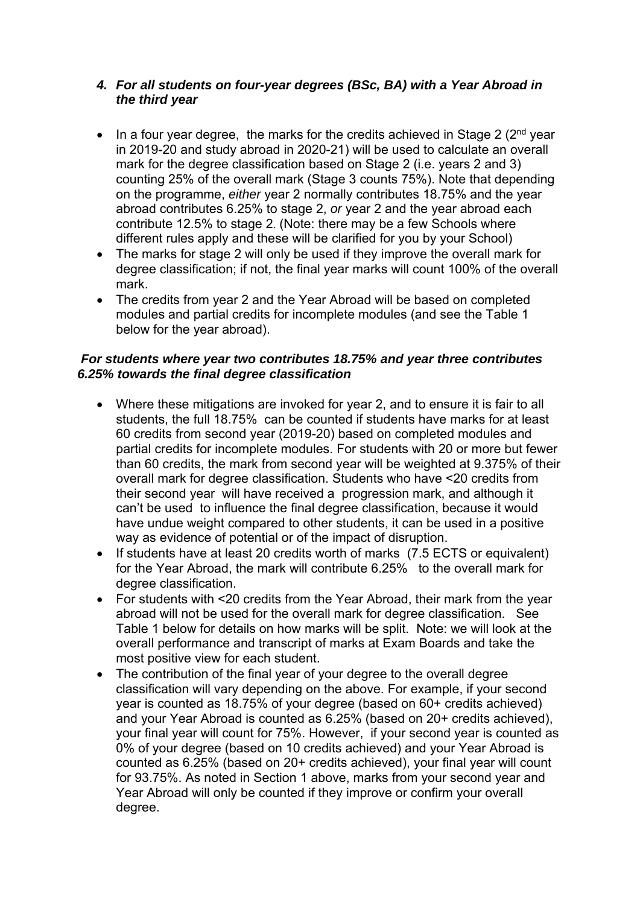#### *4. For all students on four-year degrees (BSc, BA) with a Year Abroad in the third year*

- In a four year degree, the marks for the credits achieved in Stage 2 ( $2<sup>nd</sup>$  year in 2019-20 and study abroad in 2020-21) will be used to calculate an overall mark for the degree classification based on Stage 2 (i.e. years 2 and 3) counting 25% of the overall mark (Stage 3 counts 75%). Note that depending on the programme, *either* year 2 normally contributes 18.75% and the year abroad contributes 6.25% to stage 2, *or* year 2 and the year abroad each contribute 12.5% to stage 2. (Note: there may be a few Schools where different rules apply and these will be clarified for you by your School)
- The marks for stage 2 will only be used if they improve the overall mark for degree classification; if not, the final year marks will count 100% of the overall mark.
- The credits from year 2 and the Year Abroad will be based on completed modules and partial credits for incomplete modules (and see the Table 1 below for the year abroad).

#### *For students where year two contributes 18.75% and year three contributes 6.25% towards the final degree classification*

- Where these mitigations are invoked for year 2, and to ensure it is fair to all students, the full 18.75% can be counted if students have marks for at least 60 credits from second year (2019-20) based on completed modules and partial credits for incomplete modules. For students with 20 or more but fewer than 60 credits, the mark from second year will be weighted at 9.375% of their overall mark for degree classification. Students who have <20 credits from their second year will have received a progression mark, and although it can't be used to influence the final degree classification, because it would have undue weight compared to other students, it can be used in a positive way as evidence of potential or of the impact of disruption.
- If students have at least 20 credits worth of marks (7.5 ECTS or equivalent) for the Year Abroad, the mark will contribute 6.25% to the overall mark for degree classification.
- For students with <20 credits from the Year Abroad, their mark from the year abroad will not be used for the overall mark for degree classification. See Table 1 below for details on how marks will be split. Note: we will look at the overall performance and transcript of marks at Exam Boards and take the most positive view for each student.
- The contribution of the final year of your degree to the overall degree classification will vary depending on the above. For example, if your second year is counted as 18.75% of your degree (based on 60+ credits achieved) and your Year Abroad is counted as 6.25% (based on 20+ credits achieved), your final year will count for 75%. However, if your second year is counted as 0% of your degree (based on 10 credits achieved) and your Year Abroad is counted as 6.25% (based on 20+ credits achieved), your final year will count for 93.75%. As noted in Section 1 above, marks from your second year and Year Abroad will only be counted if they improve or confirm your overall degree.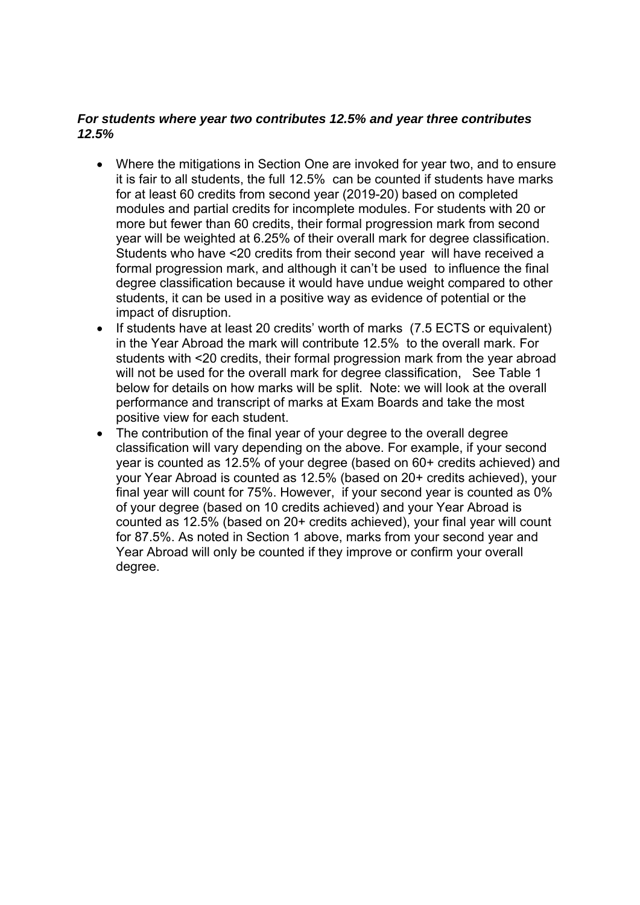### *For students where year two contributes 12.5% and year three contributes 12.5%*

- Where the mitigations in Section One are invoked for year two, and to ensure it is fair to all students, the full 12.5% can be counted if students have marks for at least 60 credits from second year (2019-20) based on completed modules and partial credits for incomplete modules. For students with 20 or more but fewer than 60 credits, their formal progression mark from second year will be weighted at 6.25% of their overall mark for degree classification. Students who have <20 credits from their second year will have received a formal progression mark, and although it can't be used to influence the final degree classification because it would have undue weight compared to other students, it can be used in a positive way as evidence of potential or the impact of disruption.
- If students have at least 20 credits' worth of marks (7.5 ECTS or equivalent) in the Year Abroad the mark will contribute 12.5% to the overall mark. For students with <20 credits, their formal progression mark from the year abroad will not be used for the overall mark for degree classification. See Table 1 below for details on how marks will be split. Note: we will look at the overall performance and transcript of marks at Exam Boards and take the most positive view for each student.
- The contribution of the final year of your degree to the overall degree classification will vary depending on the above. For example, if your second year is counted as 12.5% of your degree (based on 60+ credits achieved) and your Year Abroad is counted as 12.5% (based on 20+ credits achieved), your final year will count for 75%. However, if your second year is counted as 0% of your degree (based on 10 credits achieved) and your Year Abroad is counted as 12.5% (based on 20+ credits achieved), your final year will count for 87.5%. As noted in Section 1 above, marks from your second year and Year Abroad will only be counted if they improve or confirm your overall degree.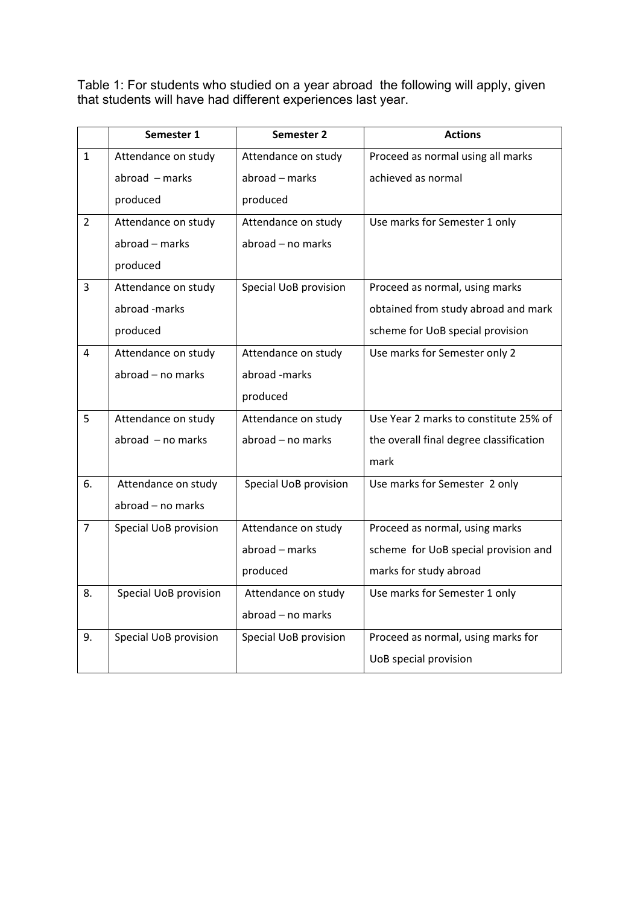Table 1: For students who studied on a year abroad the following will apply, given that students will have had different experiences last year.

|                | Semester 1                   | Semester 2            | <b>Actions</b>                          |
|----------------|------------------------------|-----------------------|-----------------------------------------|
| $\mathbf{1}$   | Attendance on study          | Attendance on study   | Proceed as normal using all marks       |
|                | $abroad - marks$             | abroad - marks        | achieved as normal                      |
|                | produced                     | produced              |                                         |
| $\overline{2}$ | Attendance on study          | Attendance on study   | Use marks for Semester 1 only           |
|                | abroad - marks               | abroad - no marks     |                                         |
|                | produced                     |                       |                                         |
| 3              | Attendance on study          | Special UoB provision | Proceed as normal, using marks          |
|                | abroad -marks                |                       | obtained from study abroad and mark     |
|                | produced                     |                       | scheme for UoB special provision        |
| 4              | Attendance on study          | Attendance on study   | Use marks for Semester only 2           |
|                | abroad - no marks            | abroad -marks         |                                         |
|                |                              | produced              |                                         |
| 5              | Attendance on study          | Attendance on study   | Use Year 2 marks to constitute 25% of   |
|                | $abroad - no marks$          | abroad - no marks     | the overall final degree classification |
|                |                              |                       | mark                                    |
| 6.             | Attendance on study          | Special UoB provision | Use marks for Semester 2 only           |
|                | abroad - no marks            |                       |                                         |
| $\overline{7}$ | <b>Special UoB provision</b> | Attendance on study   | Proceed as normal, using marks          |
|                |                              | abroad - marks        | scheme for UoB special provision and    |
|                |                              | produced              | marks for study abroad                  |
| 8.             | Special UoB provision        | Attendance on study   | Use marks for Semester 1 only           |
|                |                              | abroad - no marks     |                                         |
| 9.             | Special UoB provision        | Special UoB provision | Proceed as normal, using marks for      |
|                |                              |                       | UoB special provision                   |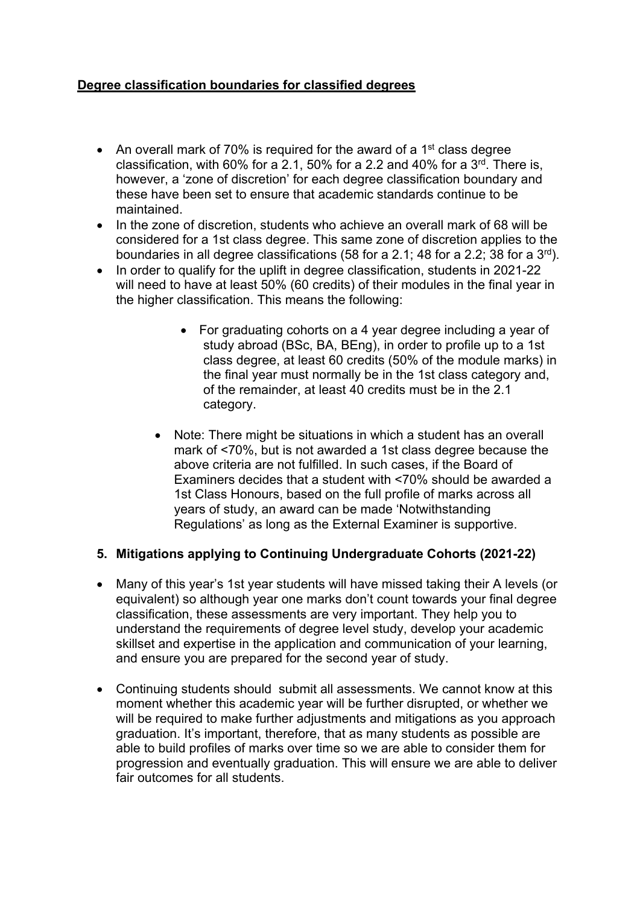## **Degree classification boundaries for classified degrees**

- An overall mark of 70% is required for the award of a 1<sup>st</sup> class degree classification, with 60% for a 2.1, 50% for a 2.2 and 40% for a  $3<sup>rd</sup>$ . There is, however, a 'zone of discretion' for each degree classification boundary and these have been set to ensure that academic standards continue to be maintained.
- In the zone of discretion, students who achieve an overall mark of 68 will be considered for a 1st class degree. This same zone of discretion applies to the boundaries in all degree classifications (58 for a 2.1; 48 for a 2.2; 38 for a 3rd).
- In order to qualify for the uplift in degree classification, students in 2021-22 will need to have at least 50% (60 credits) of their modules in the final year in the higher classification. This means the following:
	- For graduating cohorts on a 4 year degree including a year of study abroad (BSc, BA, BEng), in order to profile up to a 1st class degree, at least 60 credits (50% of the module marks) in the final year must normally be in the 1st class category and, of the remainder, at least 40 credits must be in the 2.1 category.
	- Note: There might be situations in which a student has an overall mark of <70%, but is not awarded a 1st class degree because the above criteria are not fulfilled. In such cases, if the Board of Examiners decides that a student with <70% should be awarded a 1st Class Honours, based on the full profile of marks across all years of study, an award can be made 'Notwithstanding Regulations' as long as the External Examiner is supportive.

## **5. Mitigations applying to Continuing Undergraduate Cohorts (2021-22)**

- Many of this year's 1st year students will have missed taking their A levels (or equivalent) so although year one marks don't count towards your final degree classification, these assessments are very important. They help you to understand the requirements of degree level study, develop your academic skillset and expertise in the application and communication of your learning, and ensure you are prepared for the second year of study.
- Continuing students should submit all assessments. We cannot know at this moment whether this academic year will be further disrupted, or whether we will be required to make further adjustments and mitigations as you approach graduation. It's important, therefore, that as many students as possible are able to build profiles of marks over time so we are able to consider them for progression and eventually graduation. This will ensure we are able to deliver fair outcomes for all students.